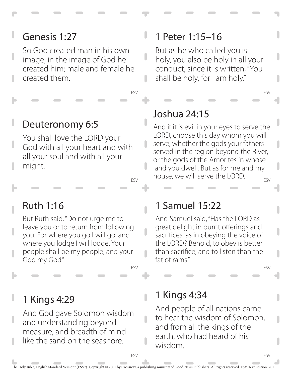# Genesis 1:27

So God created man in his own image, in the image of God he created him; male and female he created them.

## Deuteronomy 6:5

You shall love the LORD your God with all your heart and with all your soul and with all your might.

ESV

 $\overline{\phantom{a}}$ 

n

 $\overline{\phantom{a}}$ 

ESV

# Ruth 1:16

But Ruth said, "Do not urge me to leave you or to return from following you. For where you go I will go, and where you lodge I will lodge. Your people shall be my people, and your God my God."

## 1 Kings 4:29

And God gave Solomon wisdom and understanding beyond measure, and breadth of mind like the sand on the seashore.

#### 1 Peter 1:15–16

But as he who called you is holy, you also be holy in all your conduct, since it is written, "You shall be holy, for I am holy."

## Joshua 24:15

ESV And if it is evil in your eyes to serve the LORD, choose this day whom you will serve, whether the gods your fathers served in the region beyond the River, or the gods of the Amorites in whose land you dwell. But as for me and my house, we will serve the LORD.

#### 1 Samuel 15:22

And Samuel said, "Has the LORD as great delight in burnt offerings and sacrifices, as in obeying the voice of the LORD? Behold, to obey is better than sacrifice, and to listen than the fat of rams."

ESV

ESV

ESV

#### 1 Kings 4:34

And people of all nations came to hear the wisdom of Solomon, and from all the kings of the earth, who had heard of his wisdom.

ESV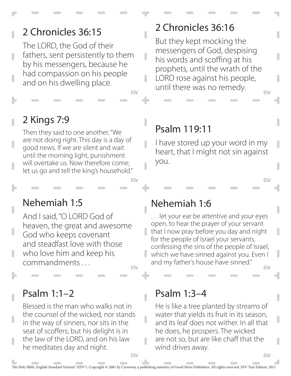# 2 Chronicles 36:15

The LORD, the God of their fathers, sent persistently to them by his messengers, because he had compassion on his people and on his dwelling place.

#### 2 Chronicles 36:16

ESV But they kept mocking the messengers of God, despising his words and scoffing at his prophets, until the wrath of the LORD rose against his people, until there was no remedy.

# 2 Kings 7:9

Then they said to one another, "We are not doing right. This day is a day of good news. If we are silent and wait until the morning light, punishment will overtake us. Now therefore come; let us go and tell the king's household."

## Psalm 119:11

ESV

 $\overline{\phantom{a}}$ 

n

ESV

I have stored up your word in my heart, that I might not sin against you.

#### Nehemiah 1:5

ESV And I said, "O LORD God of heaven, the great and awesome God who keeps covenant and steadfast love with those who love him and keep his commandments . . .

Psalm 1:1–2

Blessed is the man who walks not in the counsel of the wicked, nor stands in the way of sinners, nor sits in the seat of scoffers; but his delight is in the law of the LORD, and on his law he meditates day and night.

#### Nehemiah 1:6

. . . let your ear be attentive and your eyes open, to hear the prayer of your servant that I now pray before you day and night for the people of Israel your servants, confessing the sins of the people of Israel, which we have sinned against you. Even I and my father's house have sinned."

ESV

ESV

**ESV** 

#### Psalm 1:3–4

He is like a tree planted by streams of water that yields its fruit in its season, and its leaf does not wither. In all that he does, he prospers. The wicked are not so, but are like chaff that the wind drives away.

The Holy Bible, English Standard Version® (ESV®). Copyright © 2001 by Crossway, a publishing ministry of Good News Publishers. All rights reserved. ESV Text Edition: 2011

ı

ESV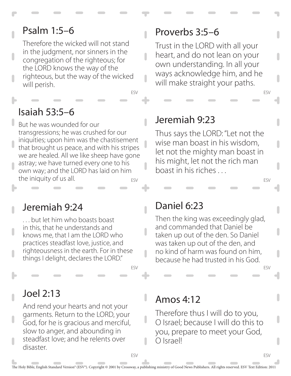# Psalm 1:5–6

Therefore the wicked will not stand in the judgment, nor sinners in the congregation of the righteous; for the LORD knows the way of the righteous, but the way of the wicked will perish.

#### ESV

Ĥ

 $\overline{\phantom{a}}$ 

# Isaiah 53:5–6

ESV But he was wounded for our transgressions; he was crushed for our iniquities; upon him was the chastisement that brought us peace, and with his stripes we are healed. All we like sheep have gone astray; we have turned every one to his own way; and the LORD has laid on him the iniquity of us all.

#### Jeremiah 9:24

. . . but let him who boasts boast in this, that he understands and knows me, that I am the LORD who practices steadfast love, justice, and righteousness in the earth. For in these things I delight, declares the LORD."

#### Joel 2:13

And rend your hearts and not your garments. Return to the LORD, your God, for he is gracious and merciful, slow to anger, and abounding in steadfast love; and he relents over disaster.

#### Proverbs 3:5–6

Trust in the LORD with all your heart, and do not lean on your own understanding. In all your ways acknowledge him, and he will make straight your paths.

#### Jeremiah 9:23

Thus says the LORD: "Let not the wise man boast in his wisdom, let not the mighty man boast in his might, let not the rich man boast in his riches . . .

#### Daniel 6:23

Then the king was exceedingly glad, and commanded that Daniel be taken up out of the den. So Daniel was taken up out of the den, and no kind of harm was found on him, because he had trusted in his God.

ESV

ESV

ESV

ESV

#### Amos 4:12

Therefore thus I will do to you, O Israel; because I will do this to you, prepare to meet your God, O Israel!

ESV

ESV

ı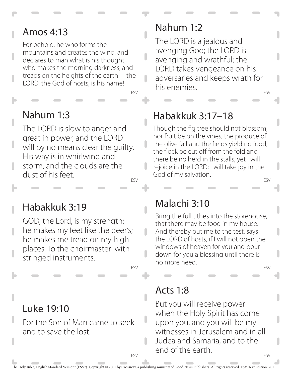#### Amos 4:13

For behold, he who forms the mountains and creates the wind, and declares to man what is his thought, who makes the morning darkness, and treads on the heights of the earth – the LORD, the God of hosts, is his name!

#### ESV

#### Nahum 1:3

ESV The LORD is slow to anger and great in power, and the LORD will by no means clear the guilty. His way is in whirlwind and storm, and the clouds are the dust of his feet.

#### Habakkuk 3:19

GOD, the Lord, is my strength; he makes my feet like the deer's; he makes me tread on my high places. To the choirmaster: with stringed instruments.

Luke 19:10

For the Son of Man came to seek and to save the lost.

# Nahum 1:2

ESV The LORD is a jealous and avenging God; the LORD is avenging and wrathful; the LORD takes vengeance on his adversaries and keeps wrath for his enemies.

# Habakkuk 3:17–18

ESV Though the fig tree should not blossom, nor fruit be on the vines, the produce of the olive fail and the fields yield no food, the flock be cut off from the fold and there be no herd in the stalls, yet I will rejoice in the LORD; I will take joy in the God of my salvation.

#### Malachi 3:10

Bring the full tithes into the storehouse, that there may be food in my house. And thereby put me to the test, says the LORD of hosts, if I will not open the windows of heaven for you and pour down for you a blessing until there is no more need.

ESV

#### Acts 1:8

ESV But you will receive power when the Holy Spirit has come upon you, and you will be my witnesses in Jerusalem and in all Judea and Samaria, and to the end of the earth.

U

ESV

ESV

ı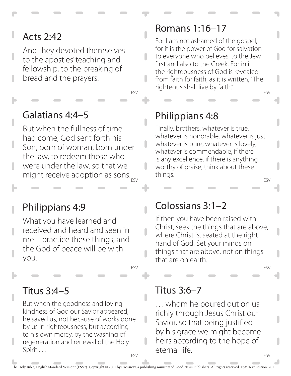# Acts 2:42

And they devoted themselves to the apostles' teaching and fellowship, to the breaking of bread and the prayers.

#### Galatians 4:4–5

ESV But when the fullness of time had come, God sent forth his Son, born of woman, born under the law, to redeem those who were under the law, so that we might receive adoption as sons.

#### Philippians 4:9

What you have learned and received and heard and seen in me – practice these things, and the God of peace will be with you.

#### Titus 3:4–5

ESV But when the goodness and loving kindness of God our Savior appeared, he saved us, not because of works done by us in righteousness, but according to his own mercy, by the washing of regeneration and renewal of the Holy Spirit . . .

#### Romans 1:16–17

ESV For I am not ashamed of the gospel, for it is the power of God for salvation to everyone who believes, to the Jew first and also to the Greek. For in it the righteousness of God is revealed from faith for faith, as it is written, "The righteous shall live by faith."

# Philippians 4:8

ESV

ESV Finally, brothers, whatever is true, whatever is honorable, whatever is just, whatever is pure, whatever is lovely, whatever is commendable, if there is any excellence, if there is anything worthy of praise, think about these things.

#### Colossians 3:1–2

If then you have been raised with Christ, seek the things that are above, where Christ is, seated at the right hand of God. Set your minds on things that are above, not on things that are on earth.

ESV

ESV

#### Titus 3:6–7

. . . whom he poured out on us richly through Jesus Christ our Savior, so that being justified by his grace we might become heirs according to the hope of eternal life.

ı

ESV

I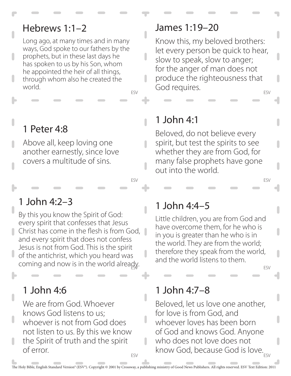#### Hebrews 1:1–2

Long ago, at many times and in many ways, God spoke to our fathers by the prophets, but in these last days he has spoken to us by his Son, whom he appointed the heir of all things, through whom also he created the world.

# 1 Peter 4:8

Above all, keep loving one another earnestly, since love covers a multitude of sins.

# 1 John 4:2–3

coming and now is in the world already. By this you know the Spirit of God: every spirit that confesses that Jesus Christ has come in the flesh is from God, and every spirit that does not confess Jesus is not from God. This is the spirit of the antichrist, which you heard was

# 1 John 4:6

ESV We are from God. Whoever knows God listens to us; whoever is not from God does not listen to us. By this we know the Spirit of truth and the spirit of error.

#### James 1:19–20

ESV Know this, my beloved brothers: let every person be quick to hear, slow to speak, slow to anger; for the anger of man does not produce the righteousness that God requires.

# 1 John 4:1

ESV

 $\blacksquare$ 

n

ESV

г

Beloved, do not believe every spirit, but test the spirits to see whether they are from God, for many false prophets have gone out into the world.

# 1 John 4:4–5

Little children, you are from God and have overcome them, for he who is in you is greater than he who is in the world. They are from the world; therefore they speak from the world, and the world listens to them.

#### ESV

ESV

#### 1 John 4:7–8

know God, because God is love. Beloved, let us love one another, for love is from God, and whoever loves has been born of God and knows God. Anyone who does not love does not

ı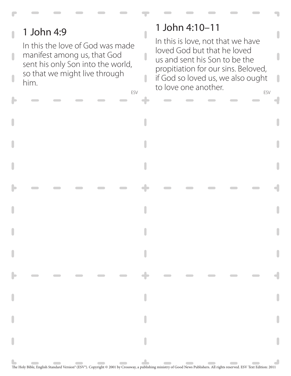# 1 John 4:9

In this the love of God was made manifest among us, that God sent his only Son into the world, so that we might live through him.

# 1 John 4:10–11

Ĥ

 $\overline{\phantom{a}}$ 

I

ESV ESV In this is love, not that we have loved God but that he loved us and sent his Son to be the propitiation for our sins. Beloved, if God so loved us, we also ought to love one another.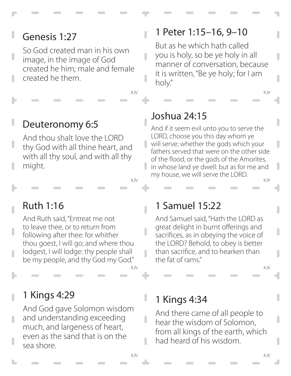# Genesis 1:27

So God created man in his own image, in the image of God created he him; male and female created he them.

# Deuteronomy 6:5

And thou shalt love the LORD thy God with all thine heart, and with all thy soul, and with all thy might.

## 1 Peter 1:15–16, 9–10

KJV KJV

But as he which hath called you is holy, so be ye holy in all manner of conversation, because it is written, "Be ye holy; for I am holy."

# Joshua 24:15

 $\overline{\phantom{a}}$ 

 $\overline{\phantom{a}}$ 

 $\blacksquare$ 

I

KJV KJV And if it seem evil unto you to serve the LORD, choose you this day whom ye will serve; whether the gods which your fathers served that were on the other side of the flood, or the gods of the Amorites, in whose land ye dwell: but as for me and my house, we will serve the LORD.

# Ruth 1:16

And Ruth said, "Entreat me not to leave thee, or to return from following after thee: for whither thou goest, I will go; and where thou lodgest, I will lodge: thy people shall be my people, and thy God my God."

#### 1 Kings 4:29

And God gave Solomon wisdom and understanding exceeding much, and largeness of heart, even as the sand that is on the sea shore.

#### 1 Samuel 15:22

And Samuel said, "Hath the LORD as great delight in burnt offerings and sacrifices, as in obeying the voice of the LORD? Behold, to obey is better than sacrifice, and to hearken than the fat of rams."

KJV KJV

# 1 Kings 4:34

And there came of all people to hear the wisdom of Solomon, from all kings of the earth, which had heard of his wisdom.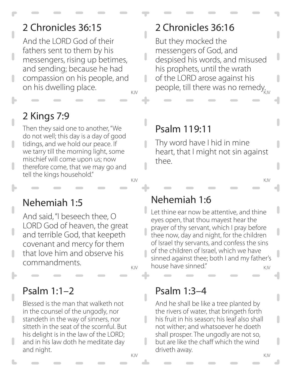# 2 Chronicles 36:15

And the LORD God of their fathers sent to them by his messengers, rising up betimes, and sending; because he had compassion on his people, and on his dwelling place.

KJV people, till there was no remedy.

 $\overline{\phantom{a}}$ 

# 2 Kings 7:9

Then they said one to another, "We do not well; this day is a day of good tidings, and we hold our peace. If we tarry till the morning light, some mischief will come upon us; now therefore come, that we may go and tell the kings household."

# Nehemiah 1:6

thee.

<sub>KJV</sub> house have sinned." The same of the state of the state of the state of the state of the state of the state Let thine ear now be attentive, and thine eyes open, that thou mayest hear the prayer of thy servant, which I pray before thee now, day and night, for the children of Israel thy servants, and confess the sins of the children of Israel, which we have sinned against thee; both I and my father's

#### Psalm 1:3–4

Psalm 119:11

Thy word have I hid in mine

2 Chronicles 36:16

messengers of God, and

despised his words, and misused

his prophets, until the wrath of the LORD arose against his

But they mocked the

heart, that I might not sin against

KJV KJV And he shall be like a tree planted by the rivers of water, that bringeth forth his fruit in his season; his leaf also shall not wither; and whatsoever he doeth shall prosper. The ungodly are not so, but are like the chaff which the wind driveth away.

#### Nehemiah 1:5

And said, "I beseech thee, O LORD God of heaven, the great and terrible God, that keepeth covenant and mercy for them that love him and observe his commandments.

# Psalm 1:1–2

Blessed is the man that walketh not in the counsel of the ungodly, nor standeth in the way of sinners, nor sitteth in the seat of the scornful. But his delight is in the law of the LORD; and in his law doth he meditate day and night.

 $\overline{\phantom{a}}$ 

#### KJV KJV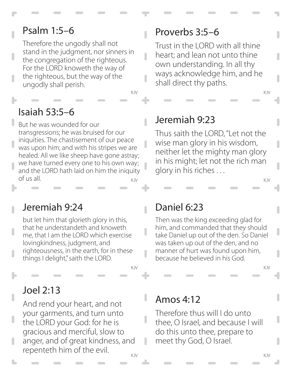# Psalm 1:5–6

Therefore the ungodly shall not stand in the judgment, nor sinners in the congregation of the righteous. For the LORD knoweth the way of the righteous, but the way of the ungodly shall perish.

KJV KJV

Ĥ

 $\overline{\phantom{a}}$ 

#### Isaiah 53:5–6

KJV KJV But he was wounded for our transgressions; he was bruised for our iniquities. The chastisement of our peace was upon him; and with his stripes we are healed. All we like sheep have gone astray; we have turned every one to his own way; and the LORD hath laid on him the iniquity of us all.

#### Jeremiah 9:24

but let him that glorieth glory in this, that he understandeth and knoweth me, that I am the LORD which exercise lovingkindness, judgment, and righteousness, in the earth, for in these things I delight," saith the LORD.

#### Joel 2:13

And rend your heart, and not your garments, and turn unto the LORD your God: for he is gracious and merciful, slow to anger, and of great kindness, and repenteth him of the evil.

# Proverbs 3:5–6

Trust in the LORD with all thine heart; and lean not unto thine own understanding. In all thy ways acknowledge him, and he shall direct thy paths.

#### Jeremiah 9:23

Thus saith the LORD, "Let not the wise man glory in his wisdom, neither let the mighty man glory in his might; let not the rich man glory in his riches . . .

#### Daniel 6:23

Then was the king exceeding glad for him, and commanded that they should take Daniel up out of the den. So Daniel was taken up out of the den, and no manner of hurt was found upon him, because he believed in his God.

KJV KJV

#### Amos 4:12

Therefore thus will I do unto thee, O Israel, and because I will do this unto thee, prepare to meet thy God, O Israel.

I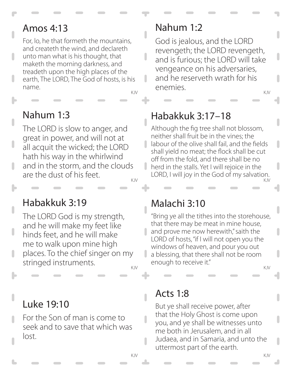#### Amos 4:13

For, lo, he that formeth the mountains, and createth the wind, and declareth unto man what is his thought, that maketh the morning darkness, and treadeth upon the high places of the earth, The LORD, The God of hosts, is his name.

n

I

## Nahum 1:3

The LORD is slow to anger, and great in power, and will not at all acquit the wicked; the LORD hath his way in the whirlwind and in the storm, and the clouds are the dust of his feet.

#### Habakkuk 3:19

The LORD God is my strength, and he will make my feet like hinds feet, and he will make me to walk upon mine high places. To the chief singer on my stringed instruments.

# Luke 19:10

For the Son of man is come to seek and to save that which was lost.

# Nahum 1:2

KJV KJV God is jealous, and the LORD revengeth; the LORD revengeth, and is furious; the LORD will take vengeance on his adversaries, and he reserveth wrath for his enemies.

# Habakkuk 3:17–18

KJV KJV Although the fig tree shall not blossom, neither shall fruit be in the vines; the labour of the olive shall fail, and the fields shall yield no meat; the flock shall be cut off from the fold, and there shall be no herd in the stalls. Yet I will rejoice in the LORD, I will joy in the God of my salvation.

# Malachi 3:10

"Bring ye all the tithes into the storehouse, that there may be meat in mine house, and prove me now herewith," saith the LORD of hosts, "if I will not open you the windows of heaven, and pour you out a blessing, that there shall not be room enough to receive it."

KJV KJV

# Acts 1:8

But ye shall receive power, after that the Holy Ghost is come upon you, and ye shall be witnesses unto me both in Jerusalem, and in all Judaea, and in Samaria, and unto the uttermost part of the earth.

n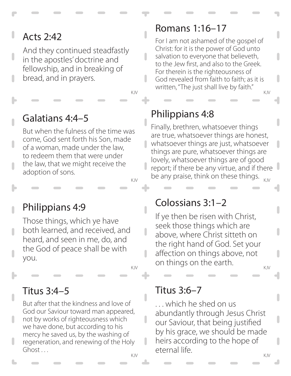# Acts 2:42

And they continued steadfastly in the apostles' doctrine and fellowship, and in breaking of bread, and in prayers.

 $\overline{\phantom{a}}$ 

# Galatians 4:4–5

But when the fulness of the time was come, God sent forth his Son, made of a woman, made under the law, to redeem them that were under the law, that we might receive the adoption of sons.

I

Ĥ

ı

# Philippians 4:9

Those things, which ye have both learned, and received, and heard, and seen in me, do, and the God of peace shall be with you.

#### Titus 3:4–5

But after that the kindness and love of God our Saviour toward man appeared, not by works of righteousness which we have done, but according to his mercy he saved us, by the washing of regeneration, and renewing of the Holy Ghost . . .

#### Romans 1:16–17

KJV KJV For I am not ashamed of the gospel of Christ: for it is the power of God unto salvation to everyone that believeth, to the Jew first, and also to the Greek. For therein is the righteousness of God revealed from faith to faith; as it is written, "The just shall live by faith."

# Philippians 4:8

 $\frac{1}{\text{KJV}}$  be any praise, think on these things.  $\frac{1}{\text{KJV}}$ Finally, brethren, whatsoever things are true, whatsoever things are honest, whatsoever things are just, whatsoever things are pure, whatsoever things are lovely, whatsoever things are of good report; if there be any virtue, and if there

#### Colossians 3:1–2

KJV KJV If ye then be risen with Christ, seek those things which are above, where Christ sitteth on the right hand of God. Set your affection on things above, not on things on the earth.

#### Titus 3:6–7

KJV KJV . . . which he shed on us abundantly through Jesus Christ our Saviour, that being justified by his grace, we should be made heirs according to the hope of eternal life.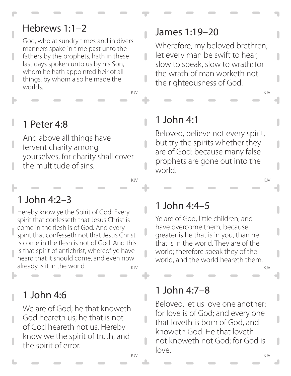## Hebrews 1:1–2

God, who at sundry times and in divers manners spake in time past unto the fathers by the prophets, hath in these last days spoken unto us by his Son, whom he hath appointed heir of all things, by whom also he made the worlds.

KJV KJV

 $\overline{\phantom{a}}$ 

 $\overline{\phantom{a}}$ 

 $\blacksquare$ 

 $\overline{\phantom{a}}$ 

 $\overline{\phantom{a}}$ 

 $\overline{\phantom{a}}$ 

# 1 Peter 4:8

And above all things have fervent charity among yourselves, for charity shall cover the multitude of sins.

#### 1 John 4:2–3

KJV KJV Hereby know ye the Spirit of God: Every spirit that confesseth that Jesus Christ is come in the flesh is of God. And every spirit that confesseth not that Jesus Christ is come in the flesh is not of God. And this is that spirit of antichrist, whereof ye have heard that it should come, and even now already is it in the world.

1 John 4:6

We are of God; he that knoweth God heareth us; he that is not of God heareth not us. Hereby know we the spirit of truth, and the spirit of error.

#### James 1:19–20

Wherefore, my beloved brethren, let every man be swift to hear, slow to speak, slow to wrath; for the wrath of man worketh not the righteousness of God.

## 1 John 4:1

Beloved, believe not every spirit, but try the spirits whether they are of God: because many false prophets are gone out into the world.

KJV KJV

## 1 John 4:4–5

Ye are of God, little children, and have overcome them, because greater is he that is in you, than he that is in the world. They are of the world; therefore speak they of the world, and the world heareth them.

#### 1 John 4:7–8

KJV KJV Beloved, let us love one another: for love is of God; and every one that loveth is born of God, and knoweth God. He that loveth not knoweth not God; for God is love.

ı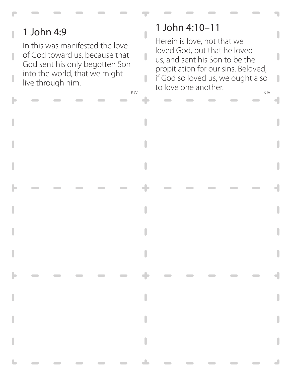# 1 John 4:9

п

In this was manifested the love of God toward us, because that God sent his only begotten Son into the world, that we might live through him.

## 1 John 4:10–11

 $\overline{\phantom{a}}$ 

 $\overline{\phantom{a}}$ 

I

KJV KJV Herein is love, not that we loved God, but that he loved us, and sent his Son to be the propitiation for our sins. Beloved, if God so loved us, we ought also to love one another.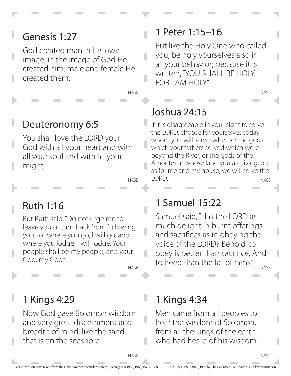# Genesis 1:27

God created man in His own image, in the image of God He created him; male and female He created them.

# Deuteronomy 6:5

You shall love the LORD your God with all your heart and with all your soul and with all your might.

NASB

NASB

Ĥ

n

# Ruth 1:16

But Ruth said, "Do not urge me to leave you or turn back from following you; for where you go, I will go, and where you lodge, I will lodge. Your people shall be my people, and your God, my God."

NASB

J

# 1 Kings 4:29

Now God gave Solomon wisdom and very great discernment and breadth of mind, like the sand that is on the seashore.

# 1 Peter 1:15–16

But like the Holy One who called you, be holy yourselves also in all your behavior; because it is written, "YOU SHALL BE HOLY, FOR I AM HOLY."

# Joshua 24:15

NASB If it is disagreeable in your sight to serve the LORD, choose for yourselves today whom you will serve: whether the gods which your fathers served which were beyond the River, or the gods of the Amorites in whose land you are living; but as for me and my house, we will serve the LORD.

# 1 Samuel 15:22

Samuel said, "Has the LORD as much delight in burnt offerings and sacrifices as in obeying the voice of the LORD? Behold, to obey is better than sacrifice, And to heed than the fat of rams."

NASB

NASB

NASB

# 1 Kings 4:34

Men came from all peoples to hear the wisdom of Solomon, from all the kings of the earth who had heard of his wisdom.

**NASR** 

J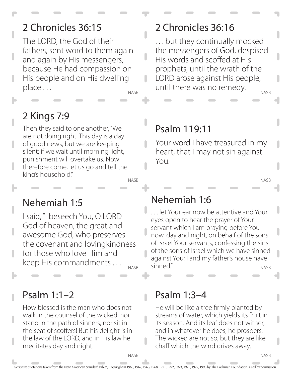# 2 Chronicles 36:15

The LORD, the God of their fathers, sent word to them again and again by His messengers, because He had compassion on His people and on His dwelling place . . .

NASB

 $\overline{\phantom{a}}$ 

П

# 2 Kings 7:9

NASB Then they said to one another, "We are not doing right. This day is a day of good news, but we are keeping silent; if we wait until morning light, punishment will overtake us. Now therefore come, let us go and tell the king's household."

#### 2 Chronicles 36:16

NASB . . . but they continually mocked the messengers of God, despised His words and scoffed at His prophets, until the wrath of the LORD arose against His people, until there was no remedy.

# Psalm 119:11

Your word I have treasured in my heart, that I may not sin against You.

NASB

NASB

#### Nehemiah 1:5

I said, "I beseech You, O LORD God of heaven, the great and awesome God, who preserves the covenant and lovingkindness for those who love Him and keep His commandments . . .

NASB

#### Psalm 1:1–2

How blessed is the man who does not walk in the counsel of the wicked, nor stand in the path of sinners, nor sit in the seat of scoffers! But his delight is in the law of the LORD, and in His law he meditates day and night.

#### Nehemiah 1:6

NASB . . . let Your ear now be attentive and Your eyes open to hear the prayer of Your servant which I am praying before You now, day and night, on behalf of the sons of Israel Your servants, confessing the sins of the sons of Israel which we have sinned against You; I and my father's house have sinned."

#### Psalm 1:3–4

He will be like a tree firmly planted by streams of water, which yields its fruit in its season. And its leaf does not wither, and in whatever he does, he prospers. The wicked are not so, but they are like chaff which the wind drives away.

 $\overline{\phantom{a}}$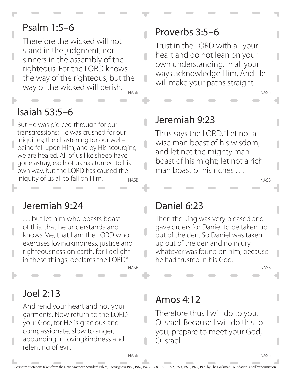## Psalm 1:5–6

NASB Therefore the wicked will not stand in the judgment, nor sinners in the assembly of the righteous. For the LORD knows the way of the righteous, but the way of the wicked will perish.

#### Isaiah 53:5–6

NASB But He was pierced through for our transgressions; He was crushed for our iniquities; the chastening for our well– being fell upon Him, and by His scourging we are healed. All of us like sheep have gone astray, each of us has turned to his own way, but the LORD has caused the iniquity of us all to fall on Him.

#### Jeremiah 9:24

. . . but let him who boasts boast of this, that he understands and knows Me, that I am the LORD who exercises lovingkindness, justice and righteousness on earth, for I delight in these things, declares the LORD."

NASB

#### Joel 2:13

And rend your heart and not your garments. Now return to the LORD your God, for He is gracious and compassionate, slow to anger, abounding in lovingkindness and relenting of evil.

#### Proverbs 3:5–6

Ĥ

 $\overline{\phantom{a}}$ 

Ω

n

Trust in the LORD with all your heart and do not lean on your own understanding. In all your ways acknowledge Him, And He will make your paths straight.

#### Jeremiah 9:23

Thus says the LORD, "Let not a wise man boast of his wisdom, and let not the mighty man boast of his might; let not a rich man boast of his riches

#### Daniel 6:23

Then the king was very pleased and gave orders for Daniel to be taken up out of the den. So Daniel was taken up out of the den and no injury whatever was found on him, because he had trusted in his God.

NASB

NASB

NASB

NASB

#### Amos 4:12

Therefore thus I will do to you, O Israel. Because I will do this to you, prepare to meet your God, O Israel.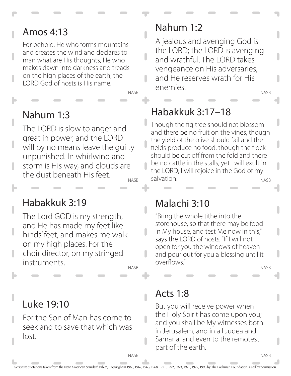# Amos 4:13

For behold, He who forms mountains and creates the wind and declares to man what are His thoughts, He who makes dawn into darkness and treads on the high places of the earth, the LORD God of hosts is His name.

NASB

n

 $\overline{\phantom{a}}$ 

## Nahum 1:3

**NASB** The LORD is slow to anger and great in power, and the LORD will by no means leave the guilty unpunished. In whirlwind and storm is His way, and clouds are the dust beneath His feet.

## Habakkuk 3:19

The Lord GOD is my strength, and He has made my feet like hinds' feet, and makes me walk on my high places. For the choir director, on my stringed instruments.

NASB

# Luke 19:10

For the Son of Man has come to seek and to save that which was lost.

# Nahum 1:2

NASB A jealous and avenging God is the LORD; the LORD is avenging and wrathful. The LORD takes vengeance on His adversaries, and He reserves wrath for His enemies.

# Habakkuk 3:17–18

NASB Though the fig tree should not blossom and there be no fruit on the vines, though the yield of the olive should fail and the fields produce no food, though the flock should be cut off from the fold and there be no cattle in the stalls, yet I will exult in the LORD; I will rejoice in the God of my salvation.

#### Malachi 3:10

"Bring the whole tithe into the storehouse, so that there may be food in My house, and test Me now in this," says the LORD of hosts, "If I will not open for you the windows of heaven and pour out for you a blessing until it overflows."

NASB

**NASB** 

#### Acts 1:8

But you will receive power when the Holy Spirit has come upon you; and you shall be My witnesses both in Jerusalem, and in all Judea and Samaria, and even to the remotest part of the earth.

**NASB** 

 $\overline{\phantom{a}}$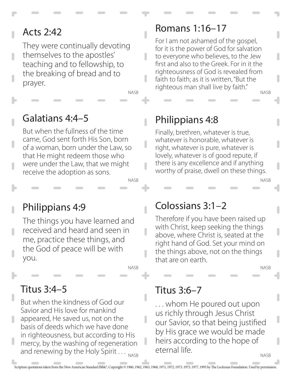# Acts 2:42

They were continually devoting themselves to the apostles' teaching and to fellowship, to the breaking of bread and to prayer.

NASB

I

 $\overline{\phantom{a}}$ 

 $\overline{\phantom{a}}$ 

NASB

#### Galatians 4:4–5

But when the fullness of the time came, God sent forth His Son, born of a woman, born under the Law, so that He might redeem those who were under the Law, that we might receive the adoption as sons.

# Philippians 4:9

The things you have learned and received and heard and seen in me, practice these things, and the God of peace will be with you.

NASB

#### Titus 3:4–5

and renewing by the Holy Spirit  $\ldots_{_{\sf NASS}}$ But when the kindness of God our Savior and His love for mankind appeared, He saved us, not on the basis of deeds which we have done in righteousness, but according to His mercy, by the washing of regeneration

#### Romans 1:16–17

NASB For I am not ashamed of the gospel, for it is the power of God for salvation to everyone who believes, to the Jew first and also to the Greek. For in it the righteousness of God is revealed from faith to faith; as it is written, "But the righteous man shall live by faith."

## Philippians 4:8

Finally, brethren, whatever is true, whatever is honorable, whatever is right, whatever is pure, whatever is lovely, whatever is of good repute, if there is any excellence and if anything worthy of praise, dwell on these things.

#### Colossians 3:1–2

Therefore if you have been raised up with Christ, keep seeking the things above, where Christ is, seated at the right hand of God. Set your mind on the things above, not on the things that are on earth.

NASB

NASB

#### Titus 3:6–7

NASB . . . whom He poured out upon us richly through Jesus Christ our Savior, so that being justified by His grace we would be made heirs according to the hope of eternal life.

 $\overline{\phantom{a}}$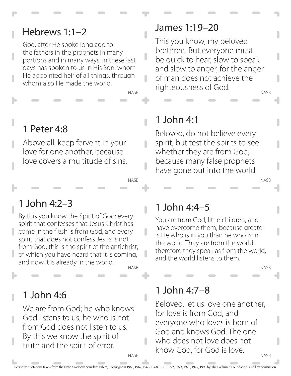#### Hebrews 1:1–2

God, after He spoke long ago to the fathers in the prophets in many portions and in many ways, in these last days has spoken to us in His Son, whom He appointed heir of all things, through whom also He made the world.

NASB

 $\blacksquare$ 

n

 $\overline{\phantom{a}}$ 

ı

NASB

# 1 Peter 4:8

Above all, keep fervent in your love for one another, because love covers a multitude of sins.

#### 1 John 4:2–3

NASB By this you know the Spirit of God: every spirit that confesses that Jesus Christ has come in the flesh is from God, and every spirit that does not confess Jesus is not from God; this is the spirit of the antichrist,  $\bigcup$  of which you have heard that it is coming, and now it is already in the world.

#### 1 John 4:6

We are from God; he who knows God listens to us; he who is not from God does not listen to us. By this we know the spirit of truth and the spirit of error.

#### James 1:19–20

NASB This you know, my beloved brethren. But everyone must be quick to hear, slow to speak and slow to anger, for the anger of man does not achieve the righteousness of God.

# 1 John 4:1

Beloved, do not believe every spirit, but test the spirits to see whether they are from God, because many false prophets have gone out into the world.

#### 1 John 4:4–5

You are from God, little children, and have overcome them, because greater is He who is in you than he who is in the world. They are from the world; therefore they speak as from the world, and the world listens to them.

NASB

NASB

#### 1 John 4:7–8

**NASB** Beloved, let us love one another, for love is from God, and everyone who loves is born of God and knows God. The one who does not love does not know God, for God is love.

ı

**NASB**